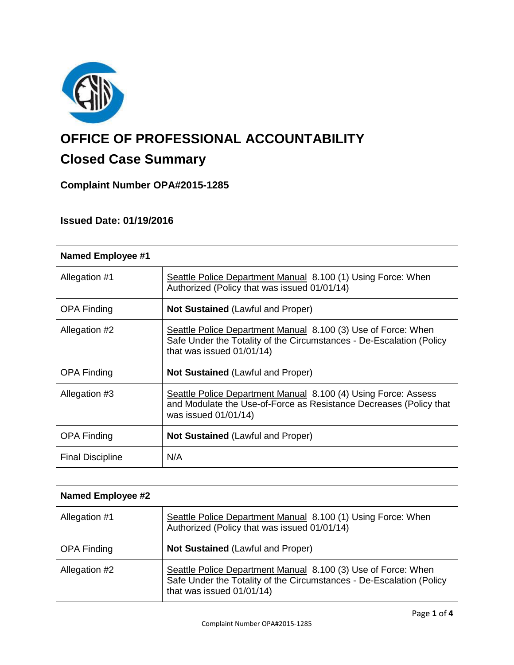

# **OFFICE OF PROFESSIONAL ACCOUNTABILITY**

# **Closed Case Summary**

## **Complaint Number OPA#2015-1285**

### **Issued Date: 01/19/2016**

| <b>Named Employee #1</b> |                                                                                                                                                                    |
|--------------------------|--------------------------------------------------------------------------------------------------------------------------------------------------------------------|
| Allegation #1            | Seattle Police Department Manual 8.100 (1) Using Force: When<br>Authorized (Policy that was issued 01/01/14)                                                       |
| <b>OPA Finding</b>       | <b>Not Sustained (Lawful and Proper)</b>                                                                                                                           |
| Allegation #2            | Seattle Police Department Manual 8.100 (3) Use of Force: When<br>Safe Under the Totality of the Circumstances - De-Escalation (Policy<br>that was issued 01/01/14) |
| <b>OPA Finding</b>       | <b>Not Sustained (Lawful and Proper)</b>                                                                                                                           |
| Allegation #3            | Seattle Police Department Manual 8.100 (4) Using Force: Assess<br>and Modulate the Use-of-Force as Resistance Decreases (Policy that<br>was issued 01/01/14)       |
| <b>OPA Finding</b>       | <b>Not Sustained (Lawful and Proper)</b>                                                                                                                           |
| <b>Final Discipline</b>  | N/A                                                                                                                                                                |

| <b>Named Employee #2</b> |                                                                                                                                                                    |
|--------------------------|--------------------------------------------------------------------------------------------------------------------------------------------------------------------|
| Allegation #1            | Seattle Police Department Manual 8.100 (1) Using Force: When<br>Authorized (Policy that was issued 01/01/14)                                                       |
| <b>OPA Finding</b>       | Not Sustained (Lawful and Proper)                                                                                                                                  |
| Allegation #2            | Seattle Police Department Manual 8.100 (3) Use of Force: When<br>Safe Under the Totality of the Circumstances - De-Escalation (Policy<br>that was issued 01/01/14) |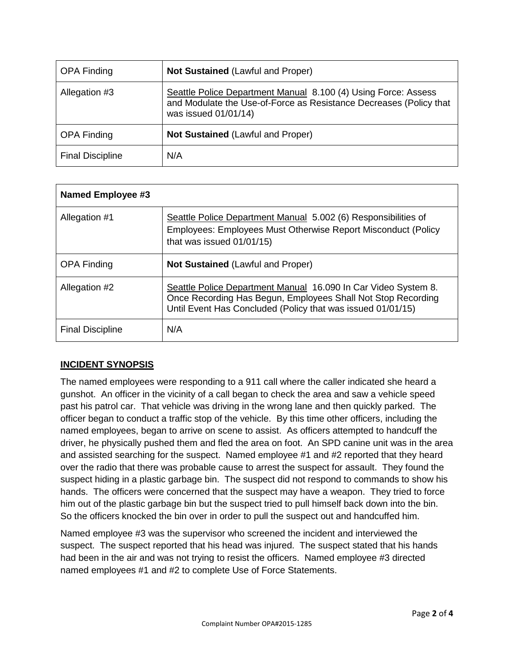| <b>OPA Finding</b>      | Not Sustained (Lawful and Proper)                                                                                                                            |
|-------------------------|--------------------------------------------------------------------------------------------------------------------------------------------------------------|
| Allegation #3           | Seattle Police Department Manual 8.100 (4) Using Force: Assess<br>and Modulate the Use-of-Force as Resistance Decreases (Policy that<br>was issued 01/01/14) |
| <b>OPA Finding</b>      | Not Sustained (Lawful and Proper)                                                                                                                            |
| <b>Final Discipline</b> | N/A                                                                                                                                                          |

| Named Employee #3       |                                                                                                                                                                                               |
|-------------------------|-----------------------------------------------------------------------------------------------------------------------------------------------------------------------------------------------|
| Allegation #1           | Seattle Police Department Manual 5.002 (6) Responsibilities of<br>Employees: Employees Must Otherwise Report Misconduct (Policy<br>that was issued 01/01/15)                                  |
| <b>OPA Finding</b>      | <b>Not Sustained (Lawful and Proper)</b>                                                                                                                                                      |
| Allegation #2           | Seattle Police Department Manual 16.090 In Car Video System 8.<br>Once Recording Has Begun, Employees Shall Not Stop Recording<br>Until Event Has Concluded (Policy that was issued 01/01/15) |
| <b>Final Discipline</b> | N/A                                                                                                                                                                                           |

#### **INCIDENT SYNOPSIS**

The named employees were responding to a 911 call where the caller indicated she heard a gunshot. An officer in the vicinity of a call began to check the area and saw a vehicle speed past his patrol car. That vehicle was driving in the wrong lane and then quickly parked. The officer began to conduct a traffic stop of the vehicle. By this time other officers, including the named employees, began to arrive on scene to assist. As officers attempted to handcuff the driver, he physically pushed them and fled the area on foot. An SPD canine unit was in the area and assisted searching for the suspect. Named employee #1 and #2 reported that they heard over the radio that there was probable cause to arrest the suspect for assault. They found the suspect hiding in a plastic garbage bin. The suspect did not respond to commands to show his hands. The officers were concerned that the suspect may have a weapon. They tried to force him out of the plastic garbage bin but the suspect tried to pull himself back down into the bin. So the officers knocked the bin over in order to pull the suspect out and handcuffed him.

Named employee #3 was the supervisor who screened the incident and interviewed the suspect. The suspect reported that his head was injured. The suspect stated that his hands had been in the air and was not trying to resist the officers. Named employee #3 directed named employees #1 and #2 to complete Use of Force Statements.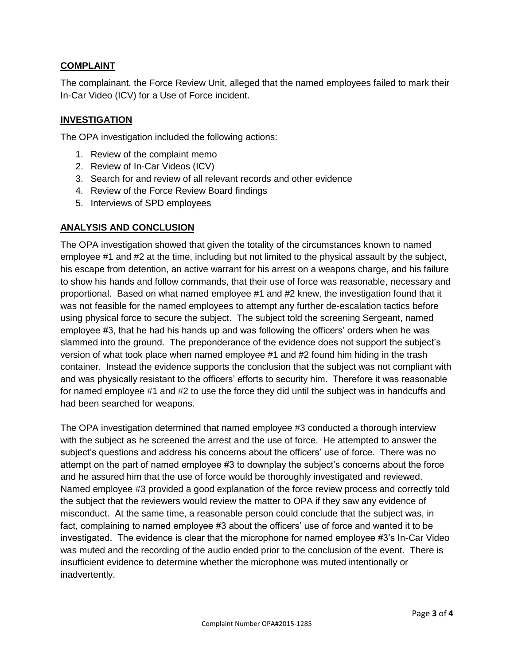#### **COMPLAINT**

The complainant, the Force Review Unit, alleged that the named employees failed to mark their In-Car Video (ICV) for a Use of Force incident.

#### **INVESTIGATION**

The OPA investigation included the following actions:

- 1. Review of the complaint memo
- 2. Review of In-Car Videos (ICV)
- 3. Search for and review of all relevant records and other evidence
- 4. Review of the Force Review Board findings
- 5. Interviews of SPD employees

#### **ANALYSIS AND CONCLUSION**

The OPA investigation showed that given the totality of the circumstances known to named employee #1 and #2 at the time, including but not limited to the physical assault by the subject, his escape from detention, an active warrant for his arrest on a weapons charge, and his failure to show his hands and follow commands, that their use of force was reasonable, necessary and proportional. Based on what named employee #1 and #2 knew, the investigation found that it was not feasible for the named employees to attempt any further de-escalation tactics before using physical force to secure the subject. The subject told the screening Sergeant, named employee #3, that he had his hands up and was following the officers' orders when he was slammed into the ground. The preponderance of the evidence does not support the subject's version of what took place when named employee #1 and #2 found him hiding in the trash container. Instead the evidence supports the conclusion that the subject was not compliant with and was physically resistant to the officers' efforts to security him. Therefore it was reasonable for named employee #1 and #2 to use the force they did until the subject was in handcuffs and had been searched for weapons.

The OPA investigation determined that named employee #3 conducted a thorough interview with the subject as he screened the arrest and the use of force. He attempted to answer the subject's questions and address his concerns about the officers' use of force. There was no attempt on the part of named employee #3 to downplay the subject's concerns about the force and he assured him that the use of force would be thoroughly investigated and reviewed. Named employee #3 provided a good explanation of the force review process and correctly told the subject that the reviewers would review the matter to OPA if they saw any evidence of misconduct. At the same time, a reasonable person could conclude that the subject was, in fact, complaining to named employee #3 about the officers' use of force and wanted it to be investigated. The evidence is clear that the microphone for named employee #3's In-Car Video was muted and the recording of the audio ended prior to the conclusion of the event. There is insufficient evidence to determine whether the microphone was muted intentionally or inadvertently.